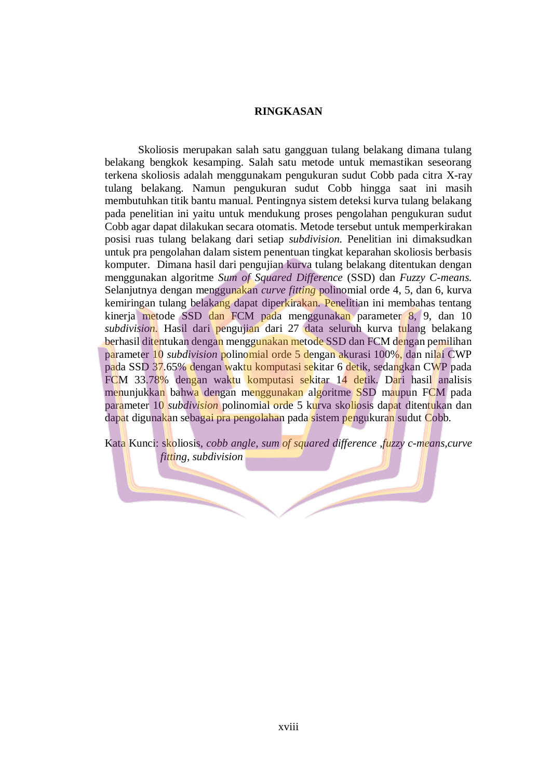## **RINGKASAN**

Skoliosis merupakan salah satu gangguan tulang belakang dimana tulang belakang bengkok kesamping. Salah satu metode untuk memastikan seseorang terkena skoliosis adalah menggunakam pengukuran sudut Cobb pada citra X-ray tulang belakang. Namun pengukuran sudut Cobb hingga saat ini masih membutuhkan titik bantu manual. Pentingnya sistem deteksi kurva tulang belakang pada penelitian ini yaitu untuk mendukung proses pengolahan pengukuran sudut Cobb agar dapat dilakukan secara otomatis. Metode tersebut untuk memperkirakan posisi ruas tulang belakang dari setiap *subdivision.* Penelitian ini dimaksudkan untuk pra pengolahan dalam sistem penentuan tingkat keparahan skoliosis berbasis komputer. Dimana hasil dari pengujian kurva tulang belakang ditentukan dengan menggunakan algoritme *Sum of Squared Difference* (SSD) dan *Fuzzy C-means.*  Selanjutnya dengan menggunakan *curve fitting* polinomial orde 4, 5, dan 6, kurva kemiringan tulang belakang dapat diperkirakan. Penelitian ini membahas tentang kinerja metode SSD dan FCM pada menggunakan parameter 8, 9, dan 10 *subdivision.* Hasil dari pengujian dari 27 data seluruh kurva tulang belakang berhasil ditentukan dengan menggunakan metode SSD dan FCM dengan pemilihan parameter 10 *subdivision* polinomial orde 5 dengan akurasi 100%, dan nilai CWP pada SSD 37.65% dengan waktu komputasi sekitar 6 detik, sedangkan CWP pada FCM 33.78% dengan waktu komputasi sekitar 14 detik. Dari hasil analisis menunjukkan bahwa dengan menggunakan algoritme SSD maupun FCM pada parameter 10 *subdivision* polinomial orde 5 kurva skoliosis dapat ditentukan dan dapat digunakan sebagai pra pengolahan pada sistem pengukuran sudut Cobb.

Kata Kunci: skoliosis, *cobb angle, sum of squared difference* ,*fuzzy c-means,curve fitting, subdivision*